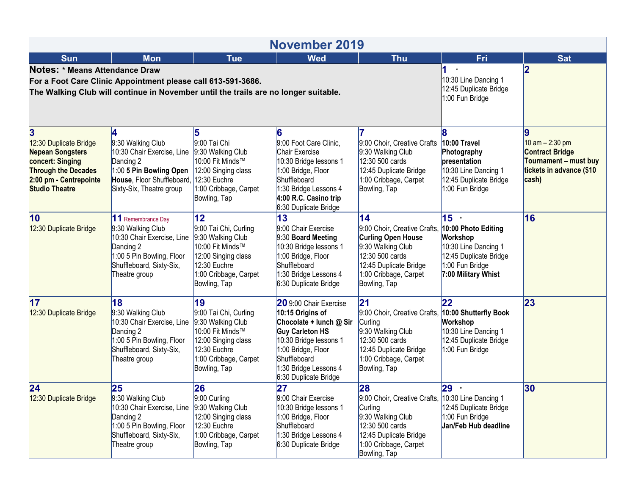| <b>November 2019</b>                                                                                                                                        |                                                                                                                                                                     |                                                                                                                                                      |                                                                                                                                                                                                                   |                                                                                                                                                                                                |                                                                                                                  |                                                                                                           |  |  |  |  |
|-------------------------------------------------------------------------------------------------------------------------------------------------------------|---------------------------------------------------------------------------------------------------------------------------------------------------------------------|------------------------------------------------------------------------------------------------------------------------------------------------------|-------------------------------------------------------------------------------------------------------------------------------------------------------------------------------------------------------------------|------------------------------------------------------------------------------------------------------------------------------------------------------------------------------------------------|------------------------------------------------------------------------------------------------------------------|-----------------------------------------------------------------------------------------------------------|--|--|--|--|
| <b>Sun</b>                                                                                                                                                  | <b>Mon</b>                                                                                                                                                          | <b>Tue</b>                                                                                                                                           | <b>Wed</b>                                                                                                                                                                                                        | <b>Thu</b>                                                                                                                                                                                     | Fri                                                                                                              | <b>Sat</b>                                                                                                |  |  |  |  |
| Notes: * Means Attendance Draw                                                                                                                              | For a Foot Care Clinic Appointment please call 613-591-3686.<br>The Walking Club will continue in November until the trails are no longer suitable.                 | $^\star$<br>10:30 Line Dancing 1<br>12:45 Duplicate Bridge<br>1:00 Fun Bridge                                                                        | 2                                                                                                                                                                                                                 |                                                                                                                                                                                                |                                                                                                                  |                                                                                                           |  |  |  |  |
| 3<br>12:30 Duplicate Bridge<br><b>Nepean Songsters</b><br>concert: Singing<br><b>Through the Decades</b><br>2:00 pm - Centrepointe<br><b>Studio Theatre</b> | 4<br>9:30 Walking Club<br>10:30 Chair Exercise, Line<br>Dancing 2<br>1:00 5 Pin Bowling Open<br>House, Floor Shuffleboard, 12:30 Euchre<br>Sixty-Six, Theatre group | 9:00 Tai Chi<br>9:30 Walking Club<br>10:00 Fit Minds™<br>12:00 Singing class<br>1:00 Cribbage, Carpet<br>Bowling, Tap                                | 16<br>9:00 Foot Care Clinic,<br>Chair Exercise<br>10:30 Bridge lessons 1<br>1:00 Bridge, Floor<br>Shuffleboard<br>1:30 Bridge Lessons 4<br>4:00 R.C. Casino trip<br>6:30 Duplicate Bridge                         | 9:00 Choir, Creative Crafts<br>9:30 Walking Club<br>12:30 500 cards<br>12:45 Duplicate Bridge<br>1:00 Cribbage, Carpet<br>Bowling, Tap                                                         | 10:00 Travel<br>Photography<br>presentation<br>10:30 Line Dancing 1<br>12:45 Duplicate Bridge<br>1:00 Fun Bridge | 10 am $- 2:30$ pm<br><b>Contract Bridge</b><br>Tournament - must buy<br>tickets in advance (\$10<br>cash) |  |  |  |  |
| 10<br>12:30 Duplicate Bridge                                                                                                                                | 11 Remembrance Day<br>9:30 Walking Club<br>10:30 Chair Exercise, Line<br>Dancing 2<br>1:00 5 Pin Bowling, Floor<br>Shuffleboard, Sixty-Six,<br>Theatre group        | 12<br>9:00 Tai Chi, Curling<br>9:30 Walking Club<br>10:00 Fit Minds™<br>12:00 Singing class<br>12:30 Euchre<br>1:00 Cribbage, Carpet<br>Bowling, Tap | 13<br>9:00 Chair Exercise<br>9:30 Board Meeting<br>10:30 Bridge lessons 1<br>1:00 Bridge, Floor<br>Shuffleboard<br>1:30 Bridge Lessons 4<br>6:30 Duplicate Bridge                                                 | 14<br>9:00 Choir, Creative Crafts, 10:00 Photo Editing<br><b>Curling Open House</b><br>9:30 Walking Club<br>12:30 500 cards<br>12:45 Duplicate Bridge<br>1:00 Cribbage, Carpet<br>Bowling, Tap | 15 *<br>Workshop<br>10:30 Line Dancing 1<br>12:45 Duplicate Bridge<br>1:00 Fun Bridge<br>7:00 Military Whist     | 16                                                                                                        |  |  |  |  |
| 17<br>12:30 Duplicate Bridge                                                                                                                                | 18<br>9:30 Walking Club<br>10:30 Chair Exercise, Line<br>Dancing 2<br>1:00 5 Pin Bowling, Floor<br>Shuffleboard, Sixty-Six,<br>Theatre group                        | 19<br>9:00 Tai Chi, Curling<br>9:30 Walking Club<br>10:00 Fit Minds™<br>12:00 Singing class<br>12:30 Euchre<br>1:00 Cribbage, Carpet<br>Bowling, Tap | 20 9:00 Chair Exercise<br>10:15 Origins of<br>Chocolate + lunch @ Sir<br><b>Guy Carleton HS</b><br>10:30 Bridge lessons 1<br>1:00 Bridge, Floor<br>Shuffleboard<br>1:30 Bridge Lessons 4<br>6:30 Duplicate Bridge | 21<br>9:00 Choir, Creative Crafts, 10:00 Shutterfly Book<br>Curling<br>9:30 Walking Club<br>12:30 500 cards<br>12:45 Duplicate Bridge<br>1:00 Cribbage, Carpet<br>Bowling, Tap                 | 22<br>Workshop<br>10:30 Line Dancing 1<br>12:45 Duplicate Bridge<br>1:00 Fun Bridge                              | 23                                                                                                        |  |  |  |  |
| 24<br>12:30 Duplicate Bridge                                                                                                                                | 25<br>9:30 Walking Club<br>10:30 Chair Exercise, Line<br>Dancing 2<br>1:00 5 Pin Bowling, Floor<br>Shuffleboard, Sixty-Six,<br>Theatre group                        | 26<br>$ 9:00$ Curling<br>9:30 Walking Club<br>12:00 Singing class<br>12:30 Euchre<br>1:00 Cribbage, Carpet<br>Bowling, Tap                           | 27<br>9:00 Chair Exercise<br>10:30 Bridge lessons 1<br>1:00 Bridge, Floor<br>Shuffleboard<br>1:30 Bridge Lessons 4<br>6:30 Duplicate Bridge                                                                       | 28<br>9:00 Choir, Creative Crafts, 10:30 Line Dancing 1<br>Curling<br>9:30 Walking Club<br>12:30 500 cards<br>12:45 Duplicate Bridge<br>1:00 Cribbage, Carpet<br>Bowling, Tap                  | 29 *<br>12:45 Duplicate Bridge<br>1:00 Fun Bridge<br>Jan/Feb Hub deadline                                        | 30                                                                                                        |  |  |  |  |